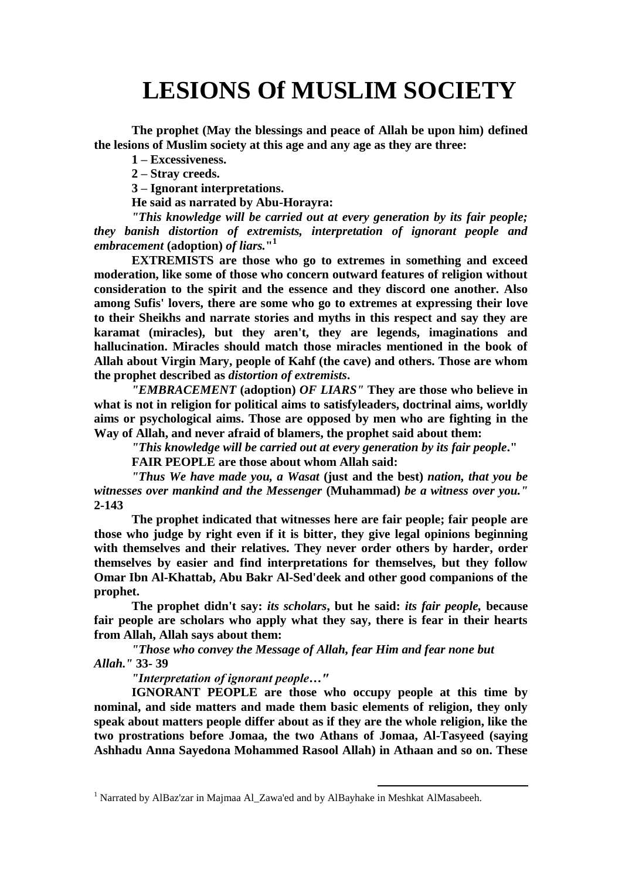## **LESIONS Of MUSLIM SOCIETY**

**The prophet (May the blessings and peace of Allah be upon him) defined the lesions of Muslim society at this age and any age as they are three:**

**1 – Excessiveness.**

**2 – Stray creeds.**

**3 – Ignorant interpretations.**

**He said as narrated by Abu-Horayra:**

*"This knowledge will be carried out at every generation by its fair people; they banish distortion of extremists, interpretation of ignorant people and embracement* **(adoption)** *of liars.***" 1**

**EXTREMISTS are those who go to extremes in something and exceed moderation, like some of those who concern outward features of religion without consideration to the spirit and the essence and they discord one another. Also among Sufis' lovers, there are some who go to extremes at expressing their love to their Sheikhs and narrate stories and myths in this respect and say they are karamat (miracles), but they aren't, they are legends, imaginations and hallucination. Miracles should match those miracles mentioned in the book of Allah about Virgin Mary, people of Kahf (the cave) and others. Those are whom the prophet described as** *distortion of extremists***.**

*"EMBRACEMENT* **(adoption)** *OF LIARS"* **They are those who believe in what is not in religion for political aims to satisfyleaders, doctrinal aims, worldly aims or psychological aims. Those are opposed by men who are fighting in the Way of Allah, and never afraid of blamers, the prophet said about them:**

*"This knowledge will be carried out at every generation by its fair people***."**

**FAIR PEOPLE are those about whom Allah said:**

*"Thus We have made you, a Wasat* **(just and the best)** *nation, that you be witnesses over mankind and the Messenger* **(Muhammad)** *be a witness over you."* **2-143**

**The prophet indicated that witnesses here are fair people; fair people are those who judge by right even if it is bitter, they give legal opinions beginning with themselves and their relatives. They never order others by harder, order themselves by easier and find interpretations for themselves, but they follow Omar Ibn Al-Khattab, Abu Bakr Al-Sed'deek and other good companions of the prophet.**

**The prophet didn't say:** *its scholars***, but he said:** *its fair people,* **because fair people are scholars who apply what they say, there is fear in their hearts from Allah, Allah says about them:**

*"Those who convey the Message of Allah, fear Him and fear none but Allah."* **33- 39**

*"Interpretation of ignorant people…"*

**IGNORANT PEOPLE are those who occupy people at this time by nominal, and side matters and made them basic elements of religion, they only speak about matters people differ about as if they are the whole religion, like the two prostrations before Jomaa, the two Athans of Jomaa, Al-Tasyeed (saying Ashhadu Anna Sayedona Mohammed Rasool Allah) in Athaan and so on. These** 

1

<sup>&</sup>lt;sup>1</sup> Narrated by AlBaz'zar in Majmaa Al\_Zawa'ed and by AlBayhake in Meshkat AlMasabeeh.